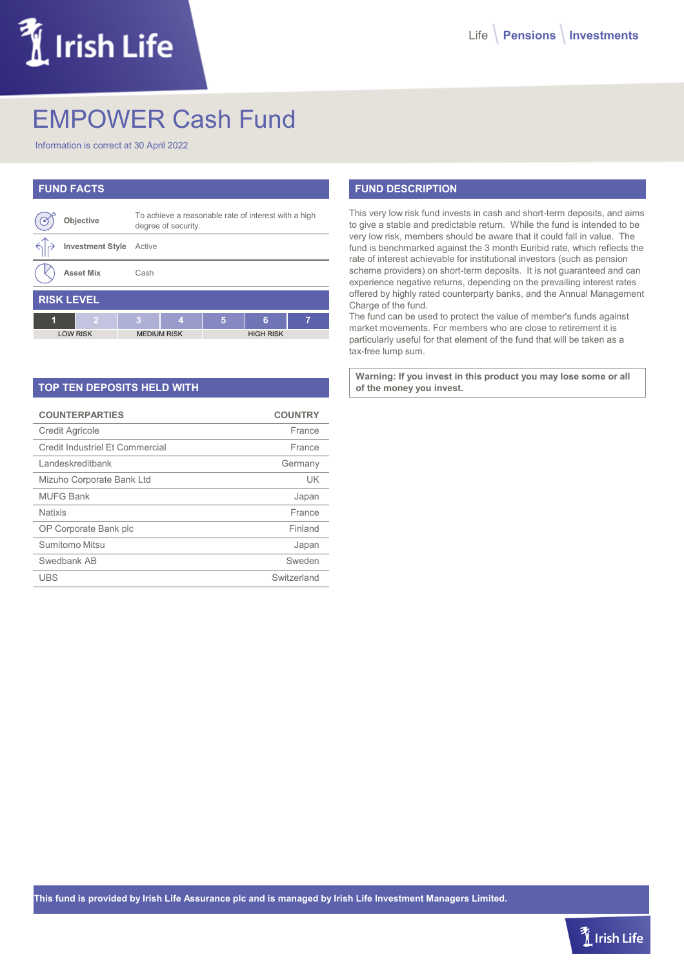# $\tilde{M}$  Irish Life

# EMPOWER Cash Fund

Information is correct at 30 April 2022

| <b>FUND FACTS</b> |                         |                                                                             |                    |   |   |                  |  |  |
|-------------------|-------------------------|-----------------------------------------------------------------------------|--------------------|---|---|------------------|--|--|
|                   | Objective               | To achieve a reasonable rate of interest with a high<br>degree of security. |                    |   |   |                  |  |  |
|                   | <b>Investment Style</b> | Active                                                                      |                    |   |   |                  |  |  |
|                   | <b>Asset Mix</b>        | Cash                                                                        |                    |   |   |                  |  |  |
| <b>RISK LEVEL</b> |                         |                                                                             |                    |   |   |                  |  |  |
| 1                 | $\overline{2}$          | 3                                                                           | А                  | 5 | 6 | 7                |  |  |
| <b>LOW RISK</b>   |                         |                                                                             | <b>MEDIUM RISK</b> |   |   | <b>HIGH RISK</b> |  |  |

| <b>TOP TEN DEPOSITS HELD WITH</b> |
|-----------------------------------|
|-----------------------------------|

| <b>COUNTERPARTIES</b>           | <b>COUNTRY</b> |
|---------------------------------|----------------|
| <b>Credit Agricole</b>          | France         |
| Credit Industriel Et Commercial | France         |
| Landeskreditbank                | Germany        |
| Mizuho Corporate Bank Ltd       | UK             |
| MUFG Bank                       | Japan          |
| <b>Natixis</b>                  | France         |
| OP Corporate Bank plc           | Finland        |
| Sumitomo Mitsu                  | Japan          |
| Swedbank AB                     | Sweden         |
| UBS                             | Switzerland    |

## **FUND DESCRIPTION**

This very low risk fund invests in cash and short-term deposits, and aims to give a stable and predictable return. While the fund is intended to be very low risk, members should be aware that it could fall in value. The fund is benchmarked against the 3 month Euribid rate, which reflects the rate of interest achievable for institutional investors (such as pension scheme providers) on short-term deposits. It is not guaranteed and can experience negative returns, depending on the prevailing interest rates offered by highly rated counterparty banks, and the Annual Management Charge of the fund.

The fund can be used to protect the value of member's funds against market movements. For members who are close to retirement it is particularly useful for that element of the fund that will be taken as a tax-free lump sum.

**Warning: If you invest in this product you may lose some or all of the money you invest.**